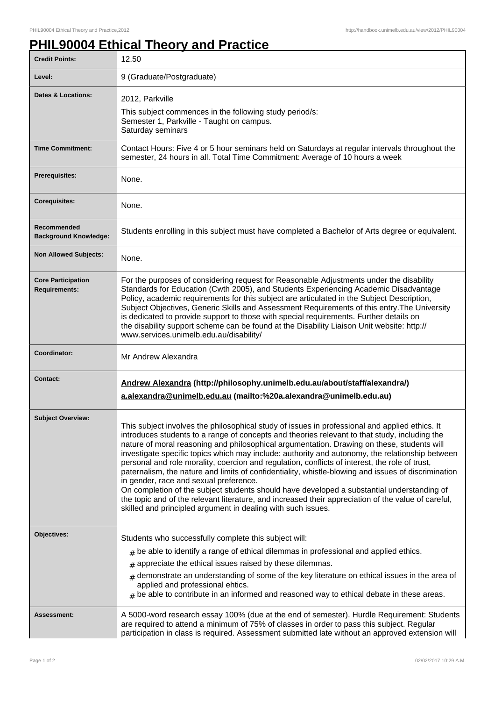## **PHIL90004 Ethical Theory and Practice**

| <b>Credit Points:</b>                             | 12.50                                                                                                                                                                                                                                                                                                                                                                                                                                                                                                                                                                                                                                                                                                                                                                                                                                                                                                                    |
|---------------------------------------------------|--------------------------------------------------------------------------------------------------------------------------------------------------------------------------------------------------------------------------------------------------------------------------------------------------------------------------------------------------------------------------------------------------------------------------------------------------------------------------------------------------------------------------------------------------------------------------------------------------------------------------------------------------------------------------------------------------------------------------------------------------------------------------------------------------------------------------------------------------------------------------------------------------------------------------|
| Level:                                            | 9 (Graduate/Postgraduate)                                                                                                                                                                                                                                                                                                                                                                                                                                                                                                                                                                                                                                                                                                                                                                                                                                                                                                |
| <b>Dates &amp; Locations:</b>                     | 2012, Parkville<br>This subject commences in the following study period/s:<br>Semester 1, Parkville - Taught on campus.<br>Saturday seminars                                                                                                                                                                                                                                                                                                                                                                                                                                                                                                                                                                                                                                                                                                                                                                             |
| <b>Time Commitment:</b>                           | Contact Hours: Five 4 or 5 hour seminars held on Saturdays at regular intervals throughout the<br>semester, 24 hours in all. Total Time Commitment: Average of 10 hours a week                                                                                                                                                                                                                                                                                                                                                                                                                                                                                                                                                                                                                                                                                                                                           |
| Prerequisites:                                    | None.                                                                                                                                                                                                                                                                                                                                                                                                                                                                                                                                                                                                                                                                                                                                                                                                                                                                                                                    |
| <b>Corequisites:</b>                              | None.                                                                                                                                                                                                                                                                                                                                                                                                                                                                                                                                                                                                                                                                                                                                                                                                                                                                                                                    |
| Recommended<br><b>Background Knowledge:</b>       | Students enrolling in this subject must have completed a Bachelor of Arts degree or equivalent.                                                                                                                                                                                                                                                                                                                                                                                                                                                                                                                                                                                                                                                                                                                                                                                                                          |
| <b>Non Allowed Subjects:</b>                      | None.                                                                                                                                                                                                                                                                                                                                                                                                                                                                                                                                                                                                                                                                                                                                                                                                                                                                                                                    |
| <b>Core Participation</b><br><b>Requirements:</b> | For the purposes of considering request for Reasonable Adjustments under the disability<br>Standards for Education (Cwth 2005), and Students Experiencing Academic Disadvantage<br>Policy, academic requirements for this subject are articulated in the Subject Description,<br>Subject Objectives, Generic Skills and Assessment Requirements of this entry. The University<br>is dedicated to provide support to those with special requirements. Further details on<br>the disability support scheme can be found at the Disability Liaison Unit website: http://<br>www.services.unimelb.edu.au/disability/                                                                                                                                                                                                                                                                                                         |
| Coordinator:                                      | Mr Andrew Alexandra                                                                                                                                                                                                                                                                                                                                                                                                                                                                                                                                                                                                                                                                                                                                                                                                                                                                                                      |
| <b>Contact:</b>                                   | Andrew Alexandra (http://philosophy.unimelb.edu.au/about/staff/alexandra/)<br>a.alexandra@unimelb.edu.au (mailto:%20a.alexandra@unimelb.edu.au)                                                                                                                                                                                                                                                                                                                                                                                                                                                                                                                                                                                                                                                                                                                                                                          |
| <b>Subject Overview:</b>                          | This subject involves the philosophical study of issues in professional and applied ethics. It<br>introduces students to a range of concepts and theories relevant to that study, including the<br>nature of moral reasoning and philosophical argumentation. Drawing on these, students will<br>investigate specific topics which may include: authority and autonomy, the relationship between<br>personal and role morality, coercion and regulation, conflicts of interest, the role of trust,<br>paternalism, the nature and limits of confidentiality, whistle-blowing and issues of discrimination<br>in gender, race and sexual preference.<br>On completion of the subject students should have developed a substantial understanding of<br>the topic and of the relevant literature, and increased their appreciation of the value of careful,<br>skilled and principled argument in dealing with such issues. |
| Objectives:                                       | Students who successfully complete this subject will:<br>$_{\#}$ be able to identify a range of ethical dilemmas in professional and applied ethics.<br>appreciate the ethical issues raised by these dilemmas.<br>#<br>$_{\#}$ demonstrate an understanding of some of the key literature on ethical issues in the area of<br>applied and professional ehtics.<br>$_{\#}$ be able to contribute in an informed and reasoned way to ethical debate in these areas.                                                                                                                                                                                                                                                                                                                                                                                                                                                       |
| Assessment:                                       | A 5000-word research essay 100% (due at the end of semester). Hurdle Requirement: Students<br>are required to attend a minimum of 75% of classes in order to pass this subject. Regular<br>participation in class is required. Assessment submitted late without an approved extension will                                                                                                                                                                                                                                                                                                                                                                                                                                                                                                                                                                                                                              |